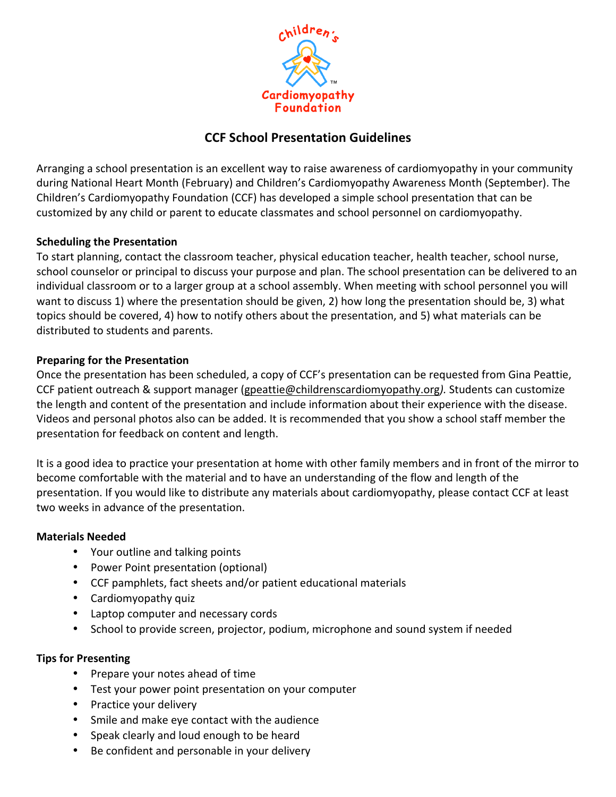

# **CCF School Presentation Guidelines**

Arranging a school presentation is an excellent way to raise awareness of cardiomyopathy in your community during National Heart Month (February) and Children's Cardiomyopathy Awareness Month (September). The Children's Cardiomyopathy Foundation (CCF) has developed a simple school presentation that can be customized by any child or parent to educate classmates and school personnel on cardiomyopathy.

## **Scheduling the Presentation**

To start planning, contact the classroom teacher, physical education teacher, health teacher, school nurse, school counselor or principal to discuss your purpose and plan. The school presentation can be delivered to an individual classroom or to a larger group at a school assembly. When meeting with school personnel you will want to discuss 1) where the presentation should be given, 2) how long the presentation should be, 3) what topics should be covered, 4) how to notify others about the presentation, and 5) what materials can be distributed to students and parents.

### **Preparing for the Presentation**

Once the presentation has been scheduled, a copy of CCF's presentation can be requested from Gina Peattie, CCF patient outreach & support manager (gpeattie@childrenscardiomyopathy.org). Students can customize the length and content of the presentation and include information about their experience with the disease. Videos and personal photos also can be added. It is recommended that you show a school staff member the presentation for feedback on content and length.

It is a good idea to practice your presentation at home with other family members and in front of the mirror to become comfortable with the material and to have an understanding of the flow and length of the presentation. If you would like to distribute any materials about cardiomyopathy, please contact CCF at least two weeks in advance of the presentation.

### **Materials Needed**

- Your outline and talking points
- Power Point presentation (optional)
- CCF pamphlets, fact sheets and/or patient educational materials
- Cardiomyopathy quiz
- Laptop computer and necessary cords
- School to provide screen, projector, podium, microphone and sound system if needed

### **Tips for Presenting**

- Prepare your notes ahead of time
- Test your power point presentation on your computer
- Practice your delivery
- Smile and make eye contact with the audience
- Speak clearly and loud enough to be heard
- Be confident and personable in your delivery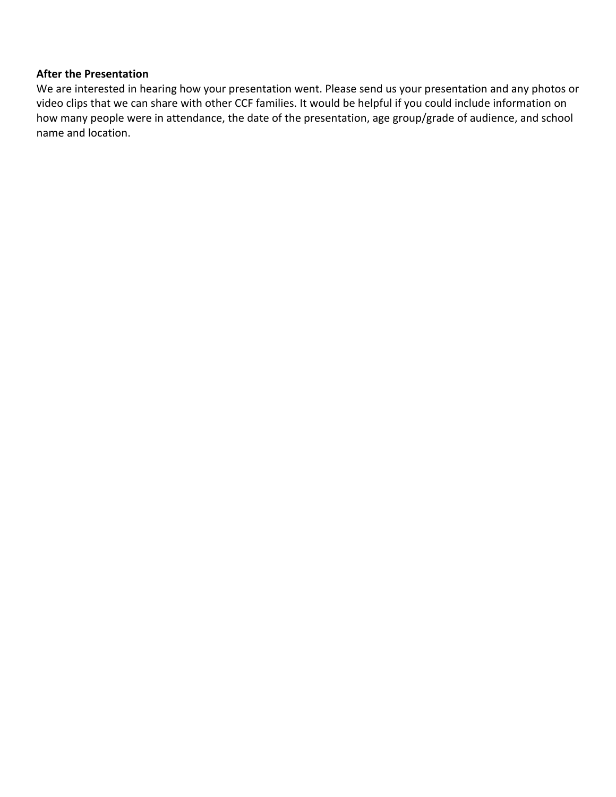### **After the Presentation**

We are interested in hearing how your presentation went. Please send us your presentation and any photos or video clips that we can share with other CCF families. It would be helpful if you could include information on how many people were in attendance, the date of the presentation, age group/grade of audience, and school name and location.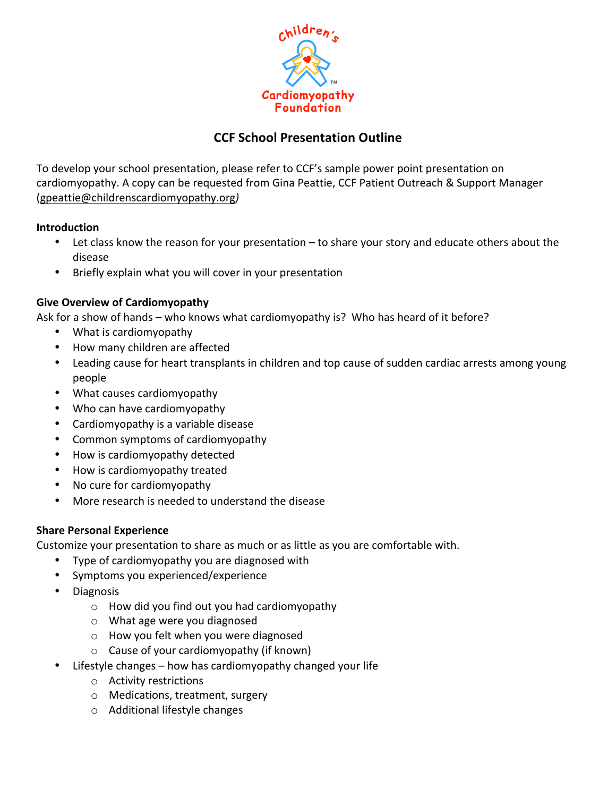

## **CCF School Presentation Outline**

To develop your school presentation, please refer to CCF's sample power point presentation on cardiomyopathy. A copy can be requested from Gina Peattie, CCF Patient Outreach & Support Manager (gpeattie@childrenscardiomyopathy.org*)*

#### **Introduction**

- Let class know the reason for your presentation to share your story and educate others about the disease
- Briefly explain what you will cover in your presentation

### **Give Overview of Cardiomyopathy**

Ask for a show of hands – who knows what cardiomyopathy is? Who has heard of it before?

- What is cardiomyopathy
- How many children are affected
- Leading cause for heart transplants in children and top cause of sudden cardiac arrests among young people
- What causes cardiomyopathy
- Who can have cardiomyopathy
- Cardiomyopathy is a variable disease
- Common symptoms of cardiomyopathy
- How is cardiomyopathy detected
- How is cardiomyopathy treated
- No cure for cardiomyopathy
- More research is needed to understand the disease

### **Share Personal Experience**

Customize your presentation to share as much or as little as you are comfortable with.

- Type of cardiomyopathy you are diagnosed with
- Symptoms you experienced/experience
- Diagnosis
	- $\circ$  How did you find out you had cardiomyopathy
	- $\circ$  What age were you diagnosed
	- $\circ$  How you felt when you were diagnosed
	- $\circ$  Cause of your cardiomyopathy (if known)
- Lifestyle changes  $-$  how has cardiomyopathy changed your life
	- $\circ$  Activity restrictions
	- $\circ$  Medications, treatment, surgery
	- $\circ$  Additional lifestyle changes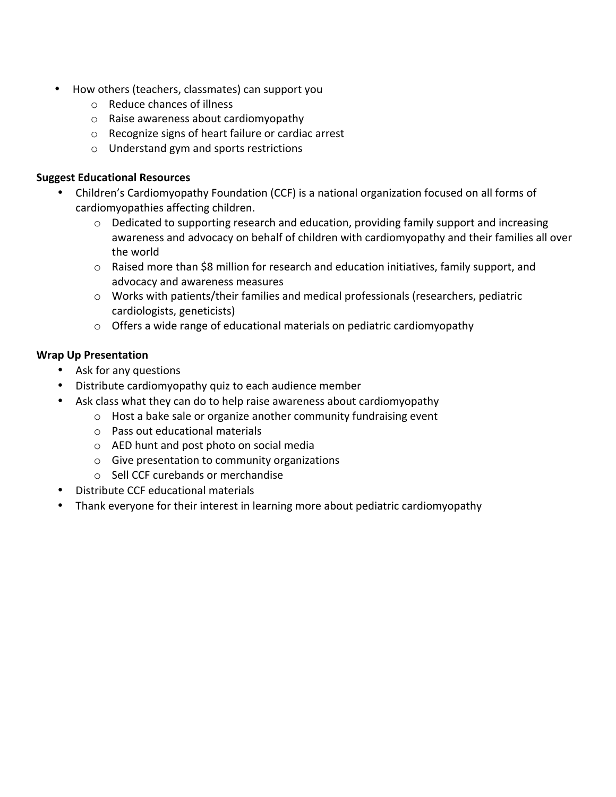- How others (teachers, classmates) can support you
	- $\circ$  Reduce chances of illness
	- $\circ$  Raise awareness about cardiomyopathy
	- $\circ$  Recognize signs of heart failure or cardiac arrest
	- $\circ$  Understand gym and sports restrictions

#### **Suggest Educational Resources**

- Children's Cardiomyopathy Foundation (CCF) is a national organization focused on all forms of cardiomyopathies affecting children.
	- $\circ$  Dedicated to supporting research and education, providing family support and increasing awareness and advocacy on behalf of children with cardiomyopathy and their families all over the world
	- $\circ$  Raised more than \$8 million for research and education initiatives, family support, and advocacy and awareness measures
	- $\circ$  Works with patients/their families and medical professionals (researchers, pediatric cardiologists, geneticists)
	- $\circ$  Offers a wide range of educational materials on pediatric cardiomyopathy

### **Wrap Up Presentation**

- Ask for any questions
- Distribute cardiomyopathy quiz to each audience member
- Ask class what they can do to help raise awareness about cardiomyopathy
	- $\circ$  Host a bake sale or organize another community fundraising event
	- $\circ$  Pass out educational materials
	- $\circ$  AED hunt and post photo on social media
	- $\circ$  Give presentation to community organizations
	- $\circ$  Sell CCF curebands or merchandise
- Distribute CCF educational materials
- Thank everyone for their interest in learning more about pediatric cardiomyopathy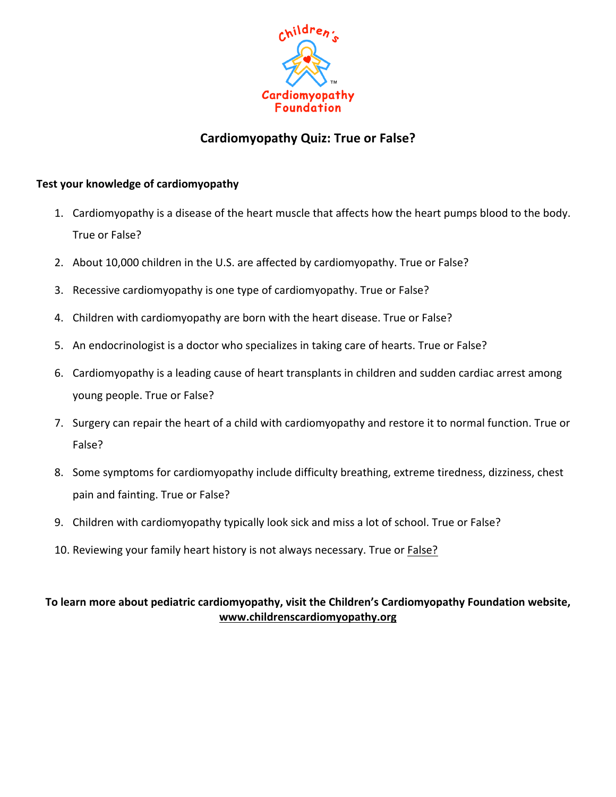

## **Cardiomyopathy Quiz: True or False?**

#### **Test your knowledge of cardiomyopathy**

- 1. Cardiomyopathy is a disease of the heart muscle that affects how the heart pumps blood to the body. True or False?
- 2. About 10,000 children in the U.S. are affected by cardiomyopathy. True or False?
- 3. Recessive cardiomyopathy is one type of cardiomyopathy. True or False?
- 4. Children with cardiomyopathy are born with the heart disease. True or False?
- 5. An endocrinologist is a doctor who specializes in taking care of hearts. True or False?
- 6. Cardiomyopathy is a leading cause of heart transplants in children and sudden cardiac arrest among young people. True or False?
- 7. Surgery can repair the heart of a child with cardiomyopathy and restore it to normal function. True or False?
- 8. Some symptoms for cardiomyopathy include difficulty breathing, extreme tiredness, dizziness, chest pain and fainting. True or False?
- 9. Children with cardiomyopathy typically look sick and miss a lot of school. True or False?
- 10. Reviewing your family heart history is not always necessary. True or **False?**

## To learn more about pediatric cardiomyopathy, visit the Children's Cardiomyopathy Foundation website, **www.childrenscardiomyopathy.org**